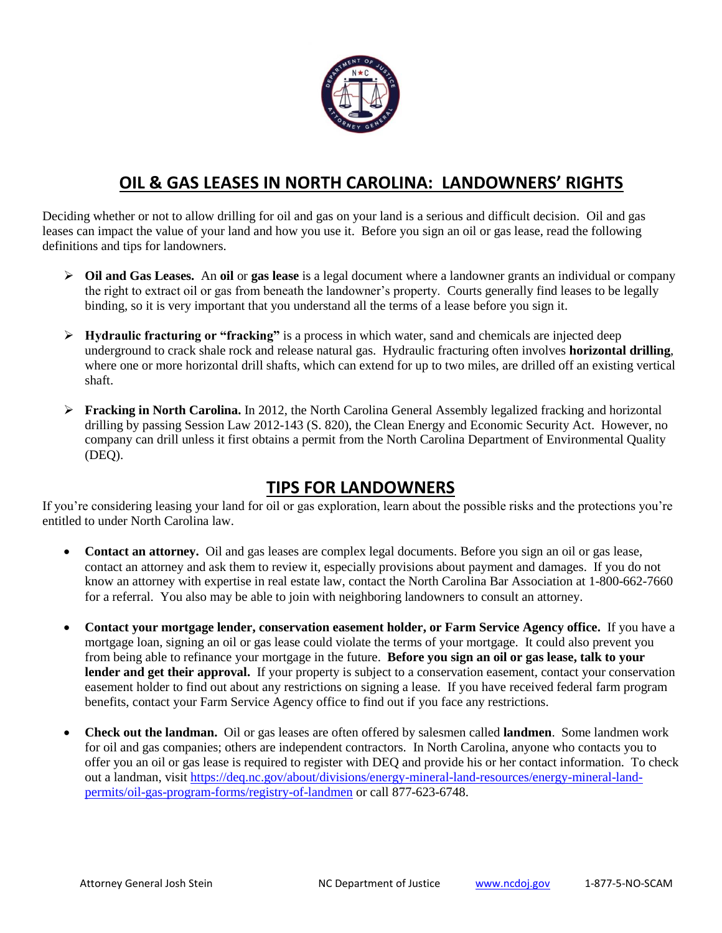

## **OIL & GAS LEASES IN NORTH CAROLINA: LANDOWNERS' RIGHTS**

Deciding whether or not to allow drilling for oil and gas on your land is a serious and difficult decision. Oil and gas leases can impact the value of your land and how you use it. Before you sign an oil or gas lease, read the following definitions and tips for landowners.

- **Oil and Gas Leases.** An **oil** or **gas lease** is a legal document where a landowner grants an individual or company the right to extract oil or gas from beneath the landowner's property. Courts generally find leases to be legally binding, so it is very important that you understand all the terms of a lease before you sign it.
- **Hydraulic fracturing or "fracking"** is a process in which water, sand and chemicals are injected deep underground to crack shale rock and release natural gas. Hydraulic fracturing often involves **horizontal drilling**, where one or more horizontal drill shafts, which can extend for up to two miles, are drilled off an existing vertical shaft.
- **Fracking in North Carolina.** In 2012, the North Carolina General Assembly legalized fracking and horizontal drilling by passing Session Law 2012-143 (S. 820), the Clean Energy and Economic Security Act. However, no company can drill unless it first obtains a permit from the North Carolina Department of Environmental Quality (DEQ).

## **TIPS FOR LANDOWNERS**

If you're considering leasing your land for oil or gas exploration, learn about the possible risks and the protections you're entitled to under North Carolina law.

- Contact an attorney. Oil and gas leases are complex legal documents. Before you sign an oil or gas lease, contact an attorney and ask them to review it, especially provisions about payment and damages. If you do not know an attorney with expertise in real estate law, contact the North Carolina Bar Association at 1-800-662-7660 for a referral. You also may be able to join with neighboring landowners to consult an attorney.
- **Contact your mortgage lender, conservation easement holder, or Farm Service Agency office.** If you have a mortgage loan, signing an oil or gas lease could violate the terms of your mortgage. It could also prevent you from being able to refinance your mortgage in the future. **Before you sign an oil or gas lease, talk to your**  lender and get their approval. If your property is subject to a conservation easement, contact your conservation easement holder to find out about any restrictions on signing a lease. If you have received federal farm program benefits, contact your Farm Service Agency office to find out if you face any restrictions.
- **Check out the landman.** Oil or gas leases are often offered by salesmen called **landmen**. Some landmen work for oil and gas companies; others are independent contractors. In North Carolina, anyone who contacts you to offer you an oil or gas lease is required to register with DEQ and provide his or her contact information. To check out a landman, visit [https://deq.nc.gov/about/divisions/energy-mineral-land-resources/energy-mineral-land](https://deq.nc.gov/about/divisions/energy-mineral-land-resources/energy-mineral-land-permits/oil-gas-program-forms/registry-of-landmen)[permits/oil-gas-program-forms/registry-of-landmen](https://deq.nc.gov/about/divisions/energy-mineral-land-resources/energy-mineral-land-permits/oil-gas-program-forms/registry-of-landmen) or call 877-623-6748.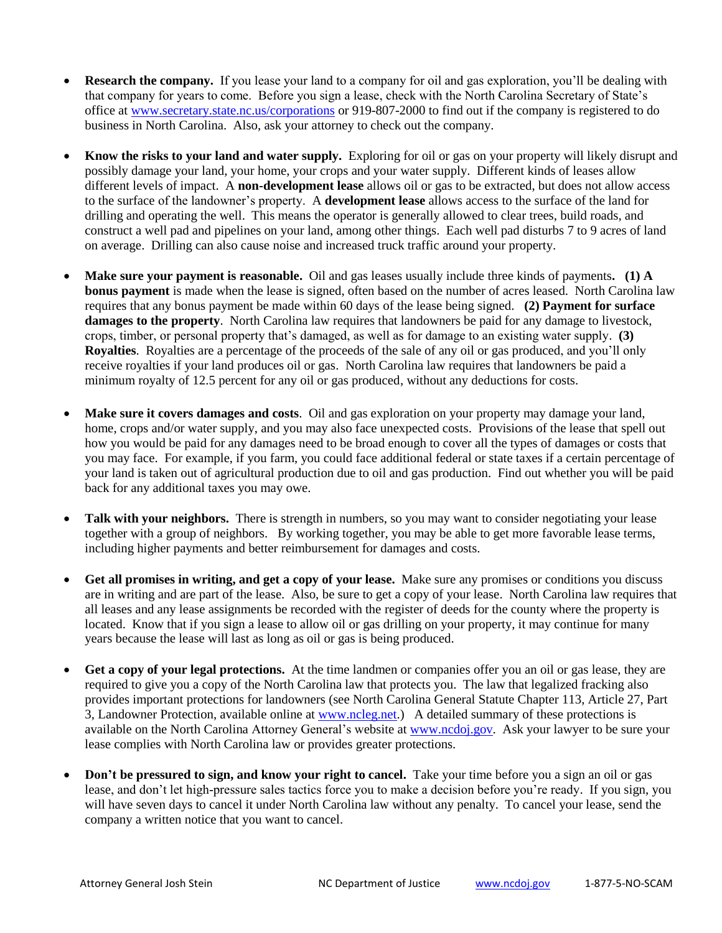- **Research the company.** If you lease your land to a company for oil and gas exploration, you'll be dealing with that company for years to come. Before you sign a lease, check with the North Carolina Secretary of State's office at [www.secretary.state.nc.us/corporations](http://www.secretary.state.nc.us/corporations) or 919-807-2000 to find out if the company is registered to do business in North Carolina. Also, ask your attorney to check out the company.
- **Know the risks to your land and water supply.** Exploring for oil or gas on your property will likely disrupt and possibly damage your land, your home, your crops and your water supply. Different kinds of leases allow different levels of impact. A **non-development lease** allows oil or gas to be extracted, but does not allow access to the surface of the landowner's property. A **development lease** allows access to the surface of the land for drilling and operating the well. This means the operator is generally allowed to clear trees, build roads, and construct a well pad and pipelines on your land, among other things. Each well pad disturbs 7 to 9 acres of land on average. Drilling can also cause noise and increased truck traffic around your property.
- **Make sure your payment is reasonable.** Oil and gas leases usually include three kinds of payments**. (1) A bonus payment** is made when the lease is signed, often based on the number of acres leased. North Carolina law requires that any bonus payment be made within 60 days of the lease being signed. **(2) Payment for surface damages to the property**. North Carolina law requires that landowners be paid for any damage to livestock, crops, timber, or personal property that's damaged, as well as for damage to an existing water supply. **(3) Royalties**. Royalties are a percentage of the proceeds of the sale of any oil or gas produced, and you'll only receive royalties if your land produces oil or gas. North Carolina law requires that landowners be paid a minimum royalty of 12.5 percent for any oil or gas produced, without any deductions for costs.
- **Make sure it covers damages and costs**. Oil and gas exploration on your property may damage your land, home, crops and/or water supply, and you may also face unexpected costs. Provisions of the lease that spell out how you would be paid for any damages need to be broad enough to cover all the types of damages or costs that you may face. For example, if you farm, you could face additional federal or state taxes if a certain percentage of your land is taken out of agricultural production due to oil and gas production. Find out whether you will be paid back for any additional taxes you may owe.
- **Talk with your neighbors.** There is strength in numbers, so you may want to consider negotiating your lease together with a group of neighbors. By working together, you may be able to get more favorable lease terms, including higher payments and better reimbursement for damages and costs.
- **Get all promises in writing, and get a copy of your lease.** Make sure any promises or conditions you discuss are in writing and are part of the lease. Also, be sure to get a copy of your lease. North Carolina law requires that all leases and any lease assignments be recorded with the register of deeds for the county where the property is located. Know that if you sign a lease to allow oil or gas drilling on your property, it may continue for many years because the lease will last as long as oil or gas is being produced.
- **Get a copy of your legal protections.** At the time landmen or companies offer you an oil or gas lease, they are required to give you a copy of the North Carolina law that protects you. The law that legalized fracking also provides important protections for landowners (see North Carolina General Statute Chapter 113, Article 27, Part 3, Landowner Protection, available online at [www.ncleg.net.](http://www.ncleg.net/)) A detailed summary of these protections is available on the North Carolina Attorney General's website at [www.ncdoj.gov.](http://www.ncdoj.gov/) Ask your lawyer to be sure your lease complies with North Carolina law or provides greater protections.
- **Don't be pressured to sign, and know your right to cancel.** Take your time before you a sign an oil or gas lease, and don't let high-pressure sales tactics force you to make a decision before you're ready. If you sign, you will have seven days to cancel it under North Carolina law without any penalty. To cancel your lease, send the company a written notice that you want to cancel.